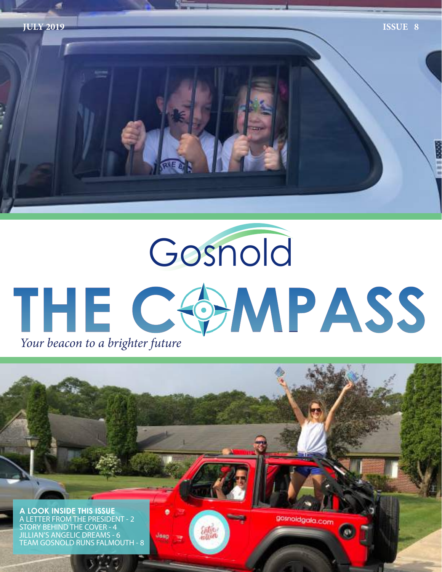

# Gosnold THE COMPASS *Your beacon to a brighter future*

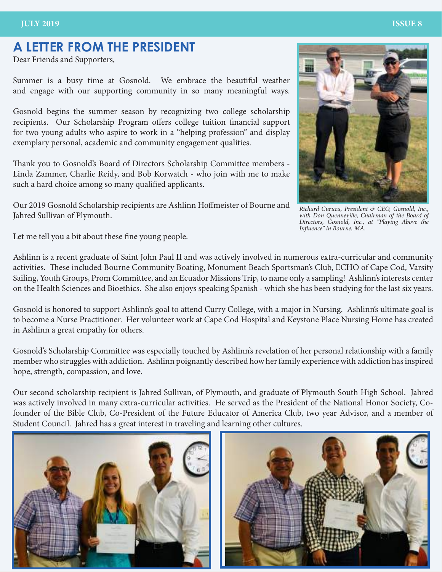### **A LETTER FROM THE PRESIDENT**

Dear Friends and Supporters,

Summer is a busy time at Gosnold. We embrace the beautiful weather and engage with our supporting community in so many meaningful ways.

Gosnold begins the summer season by recognizing two college scholarship recipients. Our Scholarship Program offers college tuition financial support for two young adults who aspire to work in a "helping profession" and display exemplary personal, academic and community engagement qualities.

Thank you to Gosnold's Board of Directors Scholarship Committee members - Linda Zammer, Charlie Reidy, and Bob Korwatch - who join with me to make such a hard choice among so many qualified applicants.

Our 2019 Gosnold Scholarship recipients are Ashlinn Hoffmeister of Bourne and Jahred Sullivan of Plymouth.

*Richard Curucu, President & CEO, Gosnold, Inc., with Don Quenneville, Chairman of the Board of Directors, Gosnold, Inc., at "Playing Above the Influence" in Bourne, MA.*

Let me tell you a bit about these fine young people.

Ashlinn is a recent graduate of Saint John Paul II and was actively involved in numerous extra-curricular and community activities. These included Bourne Community Boating, Monument Beach Sportsman's Club, ECHO of Cape Cod, Varsity Sailing, Youth Groups, Prom Committee, and an Ecuador Missions Trip, to name only a sampling! Ashlinn's interests center on the Health Sciences and Bioethics. She also enjoys speaking Spanish - which she has been studying for the last six years.

Gosnold is honored to support Ashlinn's goal to attend Curry College, with a major in Nursing. Ashlinn's ultimate goal is to become a Nurse Practitioner. Her volunteer work at Cape Cod Hospital and Keystone Place Nursing Home has created in Ashlinn a great empathy for others.

Gosnold's Scholarship Committee was especially touched by Ashlinn's revelation of her personal relationship with a family member who struggles with addiction. Ashlinn poignantly described how her family experience with addiction has inspired hope, strength, compassion, and love.

Our second scholarship recipient is Jahred Sullivan, of Plymouth, and graduate of Plymouth South High School. Jahred was actively involved in many extra-curricular activities. He served as the President of the National Honor Society, Cofounder of the Bible Club, Co-President of the Future Educator of America Club, two year Advisor, and a member of Student Council. Jahred has a great interest in traveling and learning other cultures.





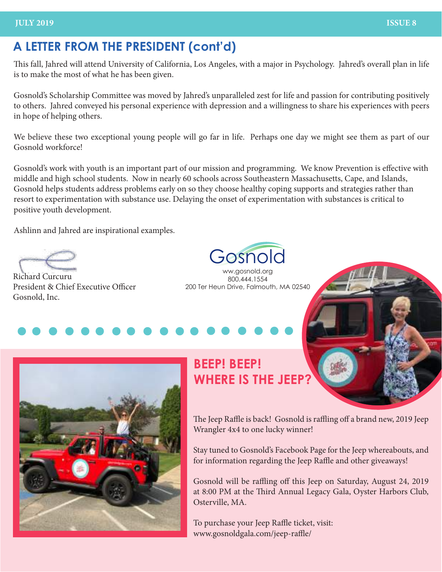### **A LETTER FROM THE PRESIDENT (cont'd)**

This fall, Jahred will attend University of California, Los Angeles, with a major in Psychology. Jahred's overall plan in life is to make the most of what he has been given.

Gosnold's Scholarship Committee was moved by Jahred's unparalleled zest for life and passion for contributing positively to others. Jahred conveyed his personal experience with depression and a willingness to share his experiences with peers in hope of helping others.

We believe these two exceptional young people will go far in life. Perhaps one day we might see them as part of our Gosnold workforce!

Gosnold's work with youth is an important part of our mission and programming. We know Prevention is effective with middle and high school students. Now in nearly 60 schools across Southeastern Massachusetts, Cape, and Islands, Gosnold helps students address problems early on so they choose healthy coping supports and strategies rather than resort to experimentation with substance use. Delaying the onset of experimentation with substances is critical to positive youth development.

Ashlinn and Jahred are inspirational examples.

Richard Curcuru President & Chief Executive Officer Gosnold, Inc.

Gosnold

ww.gosnold.org 800.444.1554 200 Ter Heun Drive, Falmouth, MA 02540



## **BEEP! BEEP! WHERE IS THE JEEP?**

The Jeep Raffle is back! Gosnold is raffling off a brand new, 2019 Jeep Wrangler 4x4 to one lucky winner!

Stay tuned to Gosnold's Facebook Page for the Jeep whereabouts, and for information regarding the Jeep Raffle and other giveaways!

Gosnold will be raffling off this Jeep on Saturday, August 24, 2019 at 8:00 PM at the Third Annual Legacy Gala, Oyster Harbors Club, Osterville, MA.

To purchase your Jeep Raffle ticket, visit: www.gosnoldgala.com/jeep-raffle/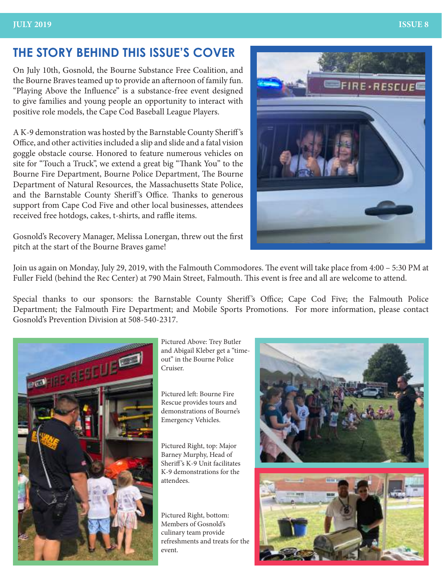### **THE STORY BEHIND THIS ISSUE'S COVER**

On July 10th, Gosnold, the Bourne Substance Free Coalition, and the Bourne Braves teamed up to provide an afternoon of family fun. "Playing Above the Influence" is a substance-free event designed to give families and young people an opportunity to interact with positive role models, the Cape Cod Baseball League Players.

A K-9 demonstration was hosted by the Barnstable County Sheriff 's Office, and other activities included a slip and slide and a fatal vision goggle obstacle course. Honored to feature numerous vehicles on site for "Touch a Truck", we extend a great big "Thank You" to the Bourne Fire Department, Bourne Police Department, The Bourne Department of Natural Resources, the Massachusetts State Police, and the Barnstable County Sheriff's Office. Thanks to generous support from Cape Cod Five and other local businesses, attendees received free hotdogs, cakes, t-shirts, and raffle items.



Gosnold's Recovery Manager, Melissa Lonergan, threw out the first pitch at the start of the Bourne Braves game!

Join us again on Monday, July 29, 2019, with the Falmouth Commodores. The event will take place from 4:00 – 5:30 PM at Fuller Field (behind the Rec Center) at 790 Main Street, Falmouth. This event is free and all are welcome to attend.

Special thanks to our sponsors: the Barnstable County Sheriff's Office; Cape Cod Five; the Falmouth Police Department; the Falmouth Fire Department; and Mobile Sports Promotions. For more information, please contact Gosnold's Prevention Division at 508-540-2317.



Pictured Above: Trey Butler and Abigail Kleber get a "timeout" in the Bourne Police Cruiser.

Pictured left: Bourne Fire Rescue provides tours and demonstrations of Bourne's Emergency Vehicles.

Pictured Right, top: Major Barney Murphy, Head of Sheriff 's K-9 Unit facilitates K-9 demonstrations for the attendees.

Pictured Right, bottom: Members of Gosnold's culinary team provide refreshments and treats for the event.

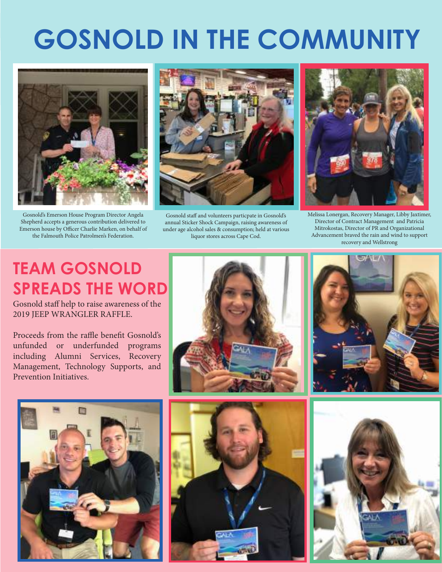# **GOSNOLD IN THE COMMUNITY**



Gosnold's Emerson House Program Director Angela Shepherd accepts a generous contribution delivered to Emerson house by Officer Charlie Marken, on behalf of the Falmouth Police Patrolmen's Federation.



Gosnold staff and volunteers particpate in Gosnold's annual Sticker Shock Campaign, raising awareness of under age alcohol sales & consumption; held at various liquor stores across Cape Cod.



Melissa Lonergan, Recovery Manager, Libby Jaxtimer, Director of Contract Management and Patricia Mitrokostas, Director of PR and Organizational Advancement braved the rain and wind to support recovery and Wellstrong

# **TEAM GOSNOLD SPREADS THE WORD**

Gosnold staff help to raise awareness of the 2019 JEEP WRANGLER RAFFLE.

Proceeds from the raffle benefit Gosnold's unfunded or underfunded programs including Alumni Services, Recovery Management, Technology Supports, and Prevention Initiatives.









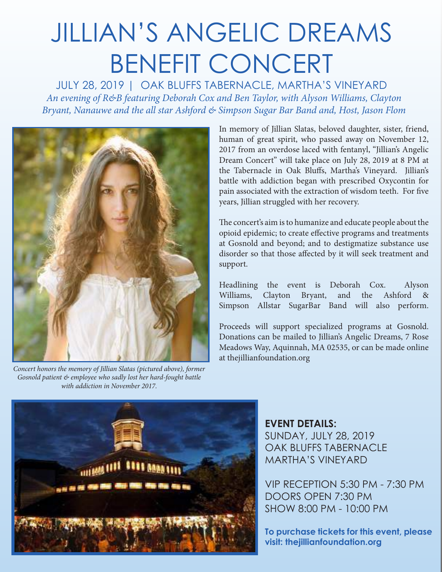# JILLIAN'S ANGELIC DREAMS BENEFIT CONCERT

JULY 28, 2019 | OAK BLUFFS TABERNACLE, MARTHA'S VINEYARD *An evening of R&B featuring Deborah Cox and Ben Taylor, with Alyson Williams, Clayton Bryant, Nanauwe and the all star Ashford & Simpson Sugar Bar Band and, Host, Jason Flom*



*Concert honors the memory of Jillian Slatas (pictured above), former Gosnold patient & employee who sadly lost her hard-fought battle with addiction in November 2017.*

In memory of Jillian Slatas, beloved daughter, sister, friend, human of great spirit, who passed away on November 12, 2017 from an overdose laced with fentanyl, "Jillian's Angelic Dream Concert" will take place on July 28, 2019 at 8 PM at the Tabernacle in Oak Bluffs, Martha's Vineyard. Jillian's battle with addiction began with prescribed Oxycontin for pain associated with the extraction of wisdom teeth. For five years, Jillian struggled with her recovery.

The concert's aim is to humanize and educate people about the opioid epidemic; to create effective programs and treatments at Gosnold and beyond; and to destigmatize substance use disorder so that those affected by it will seek treatment and support.

Headlining the event is Deborah Cox. Alyson Williams, Clayton Bryant, and the Ashford & Simpson Allstar SugarBar Band will also perform.

Proceeds will support specialized programs at Gosnold. Donations can be mailed to Jillian's Angelic Dreams, 7 Rose Meadows Way, Aquinnah, MA 02535, or can be made online at thejillianfoundation.org



**EVENT DETAILS:** SUNDAY, JULY 28, 2019 OAK BLUFFS TABERNACLE MARTHA'S VINEYARD

VIP RECEPTION 5:30 PM - 7:30 PM DOORS OPEN 7:30 PM SHOW 8:00 PM - 10:00 PM

**To purchase tickets for this event, please visit: thejillianfoundation.org**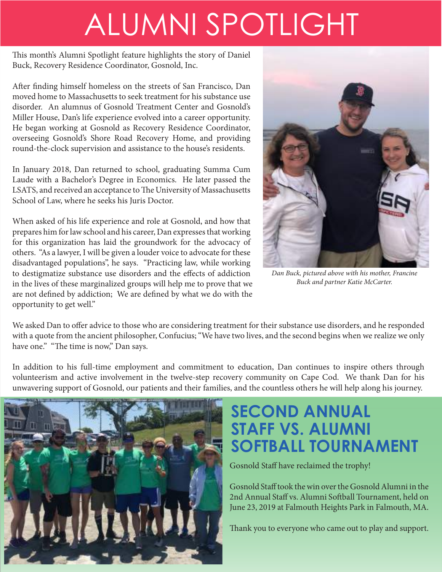# ALUMNI SPOTLIGHT

This month's Alumni Spotlight feature highlights the story of Daniel Buck, Recovery Residence Coordinator, Gosnold, Inc.

After finding himself homeless on the streets of San Francisco, Dan moved home to Massachusetts to seek treatment for his substance use disorder. An alumnus of Gosnold Treatment Center and Gosnold's Miller House, Dan's life experience evolved into a career opportunity. He began working at Gosnold as Recovery Residence Coordinator, overseeing Gosnold's Shore Road Recovery Home, and providing round-the-clock supervision and assistance to the house's residents.

In January 2018, Dan returned to school, graduating Summa Cum Laude with a Bachelor's Degree in Economics. He later passed the LSATS, and received an acceptance to The University of Massachusetts School of Law, where he seeks his Juris Doctor.

When asked of his life experience and role at Gosnold, and how that prepares him for law school and his career, Dan expresses that working for this organization has laid the groundwork for the advocacy of others. "As a lawyer, I will be given a louder voice to advocate for these disadvantaged populations", he says. "Practicing law, while working to destigmatize substance use disorders and the effects of addiction in the lives of these marginalized groups will help me to prove that we are not defined by addiction; We are defined by what we do with the opportunity to get well."



*Dan Buck, pictured above with his mother, Francine Buck and partner Katie McCarter.* 

We asked Dan to offer advice to those who are considering treatment for their substance use disorders, and he responded with a quote from the ancient philosopher, Confucius; "We have two lives, and the second begins when we realize we only have one." "The time is now," Dan says.

In addition to his full-time employment and commitment to education, Dan continues to inspire others through volunteerism and active involvement in the twelve-step recovery community on Cape Cod. We thank Dan for his unwavering support of Gosnold, our patients and their families, and the countless others he will help along his journey.



## **SECOND ANNUAL STAFF VS. ALUMNI SOFTBALL TOURNAMENT**

Gosnold Staff have reclaimed the trophy!

Gosnold Staff took the win over the Gosnold Alumni in the 2nd Annual Staff vs. Alumni Softball Tournament, held on June 23, 2019 at Falmouth Heights Park in Falmouth, MA.

Thank you to everyone who came out to play and support.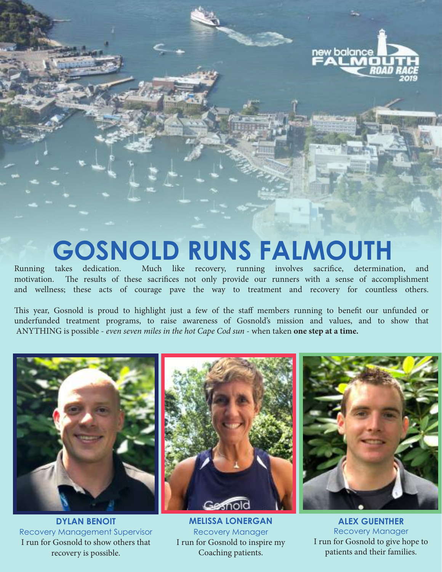

# **GOSNOLD RUNS FALMOUTH**

Running takes dedication. Much like recovery, running involves sacrifice, determination, and motivation. The results of these sacrifices not only provide our runners with a sense of accomplishment and wellness; these acts of courage pave the way to treatment and recovery for countless others.

This year, Gosnold is proud to highlight just a few of the staff members running to benefit our unfunded or underfunded treatment programs, to raise awareness of Gosnold's mission and values, and to show that ANYTHING is possible - *even seven miles in the hot Cape Cod sun* - when taken **one step at a time.** 



Gesnok



**DYLAN BENOIT**  Recovery Management Supervisor I run for Gosnold to show others that recovery is possible.

**MELISSA LONERGAN**  Recovery Manager I run for Gosnold to inspire my Coaching patients.

**ALEX GUENTHER** Recovery Manager I run for Gosnold to give hope to patients and their families.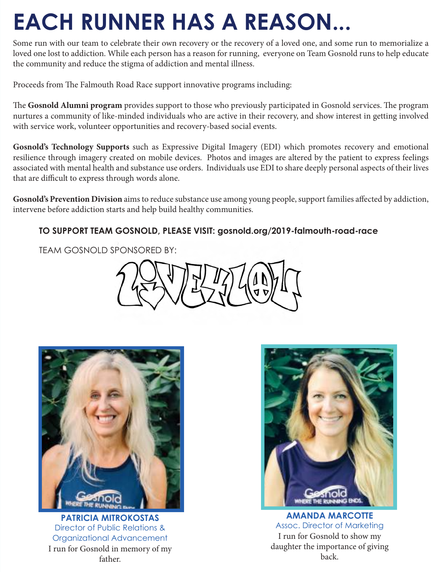# **EACH RUNNER HAS A REASON...**

Some run with our team to celebrate their own recovery or the recovery of a loved one, and some run to memorialize a loved one lost to addiction. While each person has a reason for running, everyone on Team Gosnold runs to help educate the community and reduce the stigma of addiction and mental illness.

Proceeds from The Falmouth Road Race support innovative programs including:

The **Gosnold Alumni program** provides support to those who previously participated in Gosnold services. The program nurtures a community of like-minded individuals who are active in their recovery, and show interest in getting involved with service work, volunteer opportunities and recovery-based social events.

**Gosnold's Technology Supports** such as Expressive Digital Imagery (EDI) which promotes recovery and emotional resilience through imagery created on mobile devices. Photos and images are altered by the patient to express feelings associated with mental health and substance use orders. Individuals use EDI to share deeply personal aspects of their lives that are difficult to express through words alone.

**Gosnold's Prevention Division** aims to reduce substance use among young people, support families affected by addiction, intervene before addiction starts and help build healthy communities.

### **TO SUPPORT TEAM GOSNOLD, PLEASE VISIT: gosnold.org/2019-falmouth-road-race**

TEAM GOSNOLD SPONSORED BY:



**PATRICIA MITROKOSTAS**  Director of Public Relations & Organizational Advancement I run for Gosnold in memory of my father.



**AMANDA MARCOTTE**  Assoc. Director of Marketing I run for Gosnold to show my daughter the importance of giving back.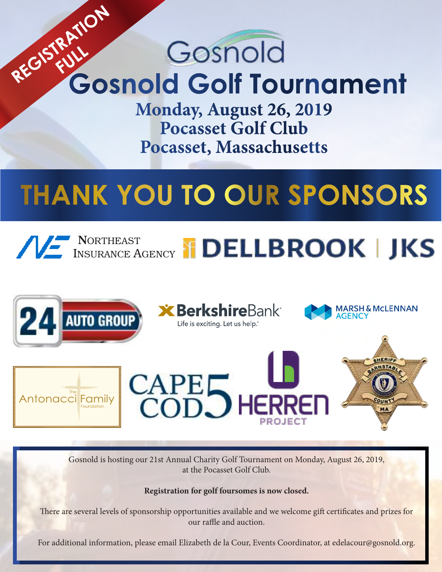# REGISTRATION Gosnold **FULL Gosnold Golf Tournament**

**Monday, August 26, 2019 Pocasset Golf Club Pocasset, Massachusetts**

# **THANK YOU TO OUR SPONSORS**





Gosnold is hosting our 21st Annual Charity Golf Tournament on Monday, August 26, 2019, at the Pocasset Golf Club.

**Registration for golf foursomes is now closed.** 

There are several levels of sponsorship opportunities available and we welcome gift certificates and prizes for our raffle and auction.

For additional information, please email Elizabeth de la Cour, Events Coordinator, at edelacour@gosnold.org.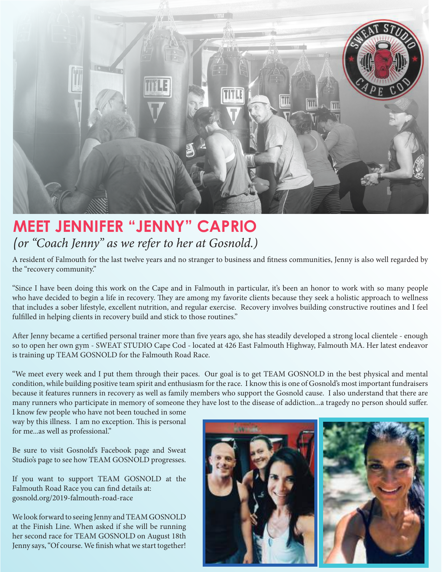

## **MEET JENNIFER "JENNY" CAPRIO**  *(or "Coach Jenny" as we refer to her at Gosnold.)*

A resident of Falmouth for the last twelve years and no stranger to business and fitness communities, Jenny is also well regarded by the "recovery community."

"Since I have been doing this work on the Cape and in Falmouth in particular, it's been an honor to work with so many people who have decided to begin a life in recovery. They are among my favorite clients because they seek a holistic approach to wellness that includes a sober lifestyle, excellent nutrition, and regular exercise. Recovery involves building constructive routines and I feel fulfilled in helping clients in recovery build and stick to those routines."

After Jenny became a certified personal trainer more than five years ago, she has steadily developed a strong local clientele - enough so to open her own gym - SWEAT STUDIO Cape Cod - located at 426 East Falmouth Highway, Falmouth MA. Her latest endeavor is training up TEAM GOSNOLD for the Falmouth Road Race.

"We meet every week and I put them through their paces. Our goal is to get TEAM GOSNOLD in the best physical and mental condition, while building positive team spirit and enthusiasm for the race. I know this is one of Gosnold's most important fundraisers because it features runners in recovery as well as family members who support the Gosnold cause. I also understand that there are many runners who participate in memory of someone they have lost to the disease of addiction...a tragedy no person should suffer.

I know few people who have not been touched in some way by this illness. I am no exception. This is personal for me...as well as professional."

Be sure to visit Gosnold's Facebook page and Sweat Studio's page to see how TEAM GOSNOLD progresses.

If you want to support TEAM GOSNOLD at the Falmouth Road Race you can find details at: gosnold.org/2019-falmouth-road-race

We look forward to seeing Jenny and TEAM GOSNOLD at the Finish Line. When asked if she will be running her second race for TEAM GOSNOLD on August 18th Jenny says, "Of course. We finish what we start together!